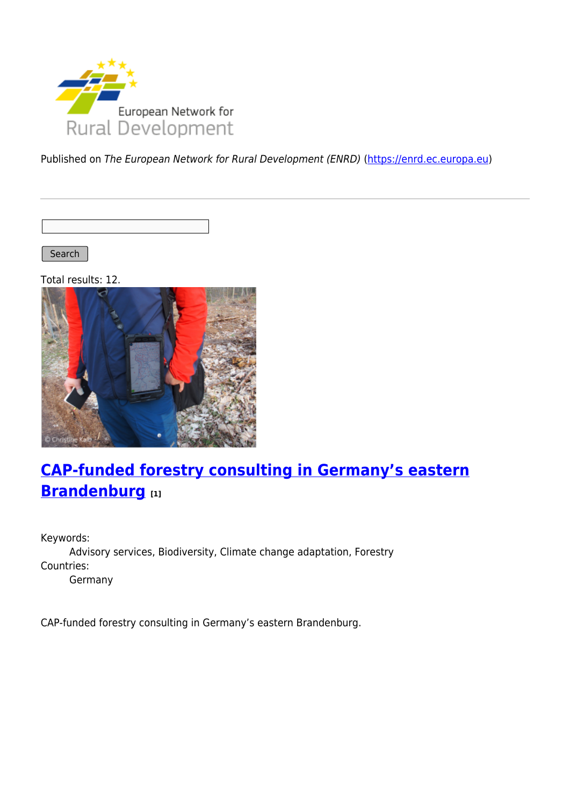

Published on The European Network for Rural Development (ENRD) [\(https://enrd.ec.europa.eu](https://enrd.ec.europa.eu))

Search |

Total results: 12.



# **[CAP-funded forestry consulting in Germany's eastern](https://enrd.ec.europa.eu/projects-practice/cap-funded-forestry-consulting-germanys-eastern-brandenburg_en) [Brandenburg](https://enrd.ec.europa.eu/projects-practice/cap-funded-forestry-consulting-germanys-eastern-brandenburg_en) [1]**

Keywords: Advisory services, Biodiversity, Climate change adaptation, Forestry Countries: Germany

CAP-funded forestry consulting in Germany's eastern Brandenburg.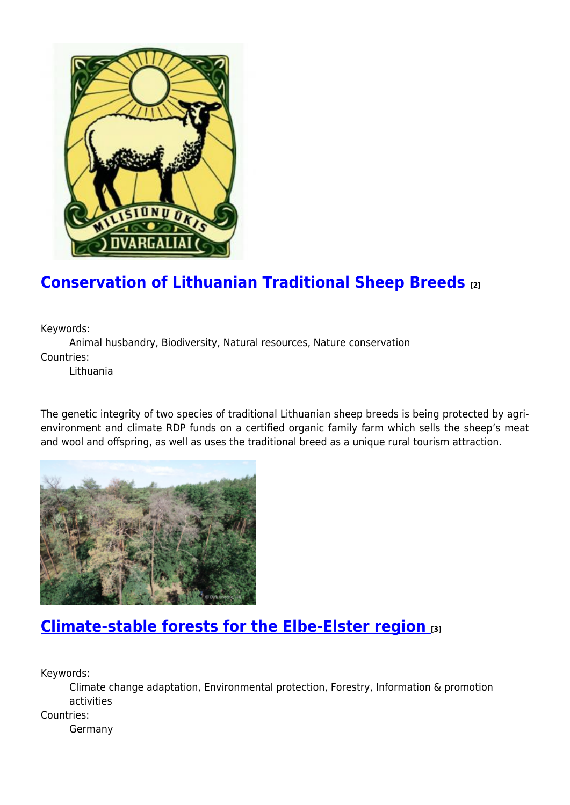

# **[Conservation of Lithuanian Traditional Sheep Breeds](https://enrd.ec.europa.eu/projects-practice/conservation-lithuanian-traditional-sheep-breeds_en) [2]**

Keywords:

Animal husbandry, Biodiversity, Natural resources, Nature conservation Countries:

Lithuania

The genetic integrity of two species of traditional Lithuanian sheep breeds is being protected by agrienvironment and climate RDP funds on a certified organic family farm which sells the sheep's meat and wool and offspring, as well as uses the traditional breed as a unique rural tourism attraction.



## **[Climate-stable forests for the Elbe-Elster region](https://enrd.ec.europa.eu/projects-practice/climate-stable-forests-elbe-elster-region_en) [3]**

Keywords:

Climate change adaptation, Environmental protection, Forestry, Information & promotion activities

Countries:

Germany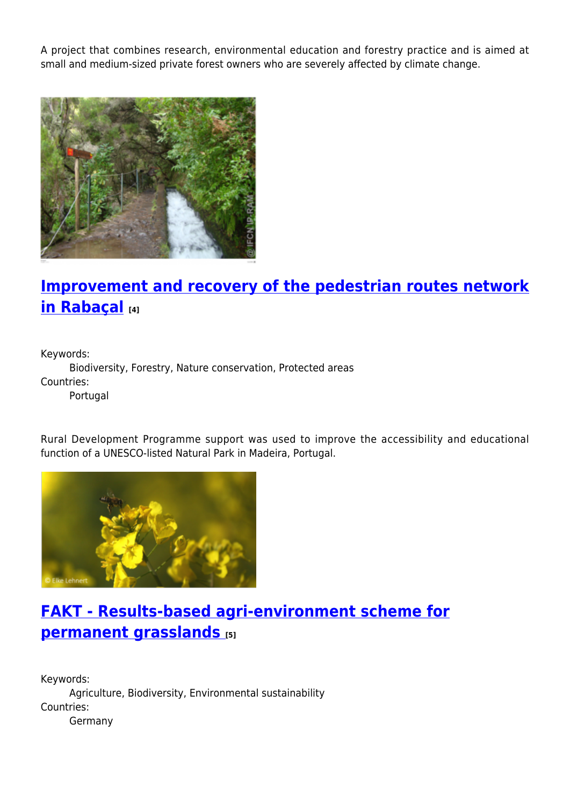A project that combines research, environmental education and forestry practice and is aimed at small and medium-sized private forest owners who are severely affected by climate change.



# **[Improvement and recovery of the pedestrian routes network](https://enrd.ec.europa.eu/projects-practice/improvement-and-recovery-pedestrian-routes-network-rabacal_en) [in Rabaçal](https://enrd.ec.europa.eu/projects-practice/improvement-and-recovery-pedestrian-routes-network-rabacal_en) [4]**

Keywords:

Biodiversity, Forestry, Nature conservation, Protected areas Countries:

Portugal

Rural Development Programme support was used to improve the accessibility and educational function of a UNESCO-listed Natural Park in Madeira, Portugal.



# **[FAKT - Results-based agri-environment scheme for](https://enrd.ec.europa.eu/projects-practice/fakt-results-based-agri-environment-scheme-permanent-grasslands_en) [permanent grasslands](https://enrd.ec.europa.eu/projects-practice/fakt-results-based-agri-environment-scheme-permanent-grasslands_en) [5]**

Keywords: Agriculture, Biodiversity, Environmental sustainability Countries: Germany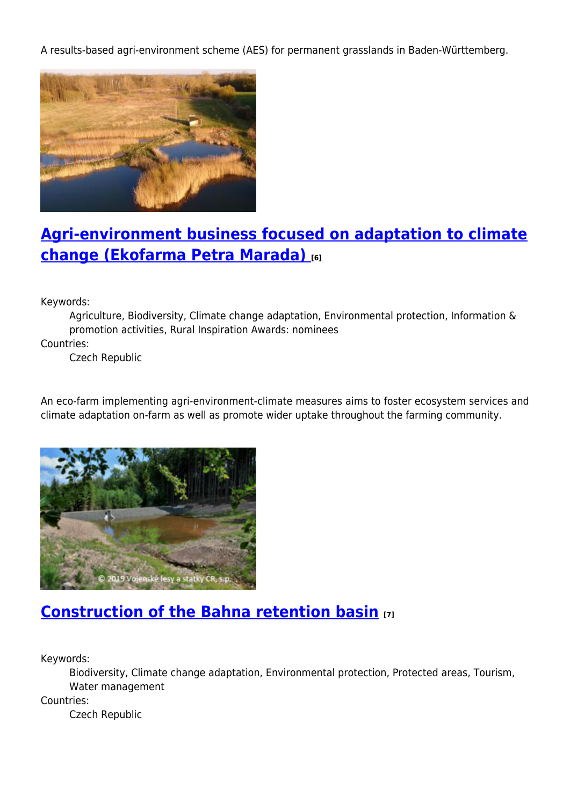A results-based agri-environment scheme (AES) for permanent grasslands in Baden-Württemberg.



# **[Agri-environment business focused on adaptation to climate](https://enrd.ec.europa.eu/projects-practice/agri-environment-business-focused-adaptation-climate-change-ekofarma-petra-marada_en) [change \(Ekofarma Petra Marada\)](https://enrd.ec.europa.eu/projects-practice/agri-environment-business-focused-adaptation-climate-change-ekofarma-petra-marada_en) [6]**

Keywords:

Agriculture, Biodiversity, Climate change adaptation, Environmental protection, Information & promotion activities, Rural Inspiration Awards: nominees

Countries:

Czech Republic

An eco-farm implementing agri-environment-climate measures aims to foster ecosystem services and climate adaptation on-farm as well as promote wider uptake throughout the farming community.



## **[Construction of the Bahna retention basin](https://enrd.ec.europa.eu/projects-practice/construction-bahna-retention-basin_en) [7]**

Keywords:

Biodiversity, Climate change adaptation, Environmental protection, Protected areas, Tourism, Water management

Countries:

Czech Republic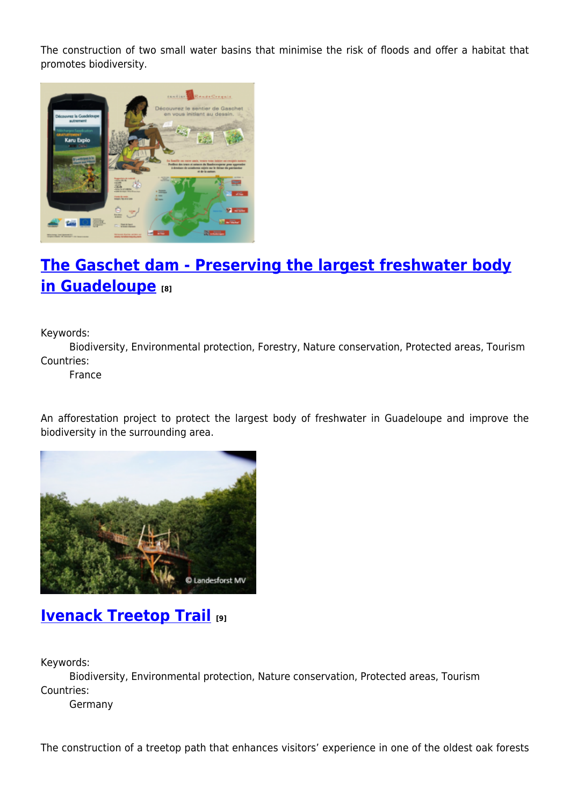The construction of two small water basins that minimise the risk of floods and offer a habitat that promotes biodiversity.



# **[The Gaschet dam - Preserving the largest freshwater body](https://enrd.ec.europa.eu/projects-practice/gaschet-dam-preserving-largest-freshwater-body-guadeloupe_en) [in Guadeloupe](https://enrd.ec.europa.eu/projects-practice/gaschet-dam-preserving-largest-freshwater-body-guadeloupe_en) [8]**

Keywords:

Biodiversity, Environmental protection, Forestry, Nature conservation, Protected areas, Tourism Countries:

France

An afforestation project to protect the largest body of freshwater in Guadeloupe and improve the biodiversity in the surrounding area.



### **[Ivenack Treetop Trail](https://enrd.ec.europa.eu/projects-practice/ivenack-treetop-trail_en) [9]**

Keywords:

Biodiversity, Environmental protection, Nature conservation, Protected areas, Tourism Countries:

Germany

The construction of a treetop path that enhances visitors' experience in one of the oldest oak forests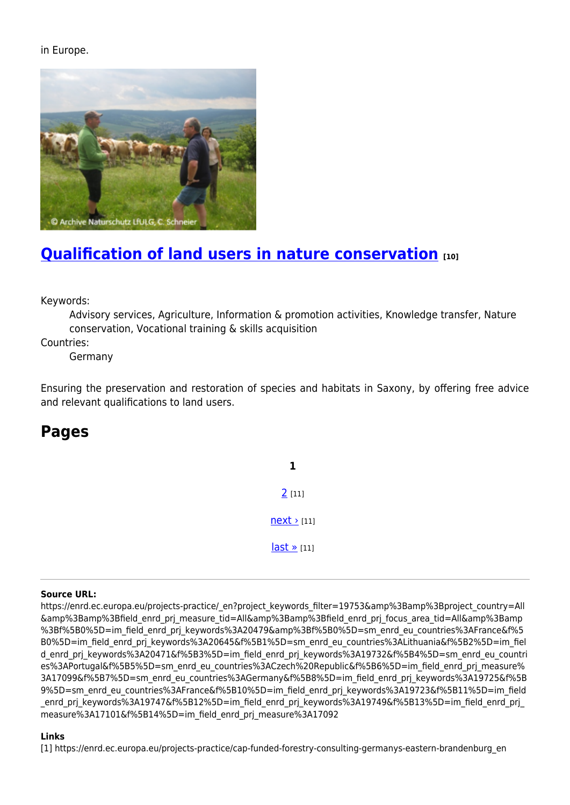#### in Europe.



# **[Qualification of land users in nature conservation](https://enrd.ec.europa.eu/projects-practice/qualification-land-users-nature-conservation_en) [10]**

Keywords:

Advisory services, Agriculture, Information & promotion activities, Knowledge transfer, Nature conservation, Vocational training & skills acquisition

Countries:

Germany

Ensuring the preservation and restoration of species and habitats in Saxony, by offering free advice and relevant qualifications to land users.

### **Pages**

**1** [2](https://enrd.ec.europa.eu/projects-practice/_en?page=1&project_keywords_filter=19753&%3Bamp%3Bproject_country=All&%3Bamp%3Bfield_enrd_prj_measure_tid=All&%3Bamp%3Bfield_enrd_prj_focus_area_tid=All&%3Bamp%3Bf%5B0%5D=im_field_enrd_prj_keywords%3A20479&%3Bf%5B0%5D=sm_enrd_eu_countries%3AFrance&f%5B0%5D=im_field_enrd_prj_keywords%3A20645&f%5B1%5D=sm_enrd_eu_countries%3ALithuania&f%5B2%5D=im_field_enrd_prj_keywords%3A20471&f%5B3%5D=im_field_enrd_prj_keywords%3A19732&f%5B4%5D=sm_enrd_eu_countries%3APortugal&f%5B5%5D=sm_enrd_eu_countries%3ACzech%20Republic&f%5B6%5D=im_field_enrd_prj_measure%3A17099&f%5B7%5D=sm_enrd_eu_countries%3AGermany&f%5B8%5D=im_field_enrd_prj_keywords%3A19725&f%5B9%5D=sm_enrd_eu_countries%3AFrance&f%5B10%5D=im_field_enrd_prj_keywords%3A19723&f%5B11%5D=im_field_enrd_prj_keywords%3A19747&f%5B12%5D=im_field_enrd_prj_keywords%3A19749&f%5B13%5D=im_field_enrd_prj_measure%3A17101&f%5B14%5D=im_field_enrd_prj_measure%3A17092) [11]  $next$  [11] [last »](https://enrd.ec.europa.eu/projects-practice/_en?page=1&project_keywords_filter=19753&%3Bamp%3Bproject_country=All&%3Bamp%3Bfield_enrd_prj_measure_tid=All&%3Bamp%3Bfield_enrd_prj_focus_area_tid=All&%3Bamp%3Bf%5B0%5D=im_field_enrd_prj_keywords%3A20479&%3Bf%5B0%5D=sm_enrd_eu_countries%3AFrance&f%5B0%5D=im_field_enrd_prj_keywords%3A20645&f%5B1%5D=sm_enrd_eu_countries%3ALithuania&f%5B2%5D=im_field_enrd_prj_keywords%3A20471&f%5B3%5D=im_field_enrd_prj_keywords%3A19732&f%5B4%5D=sm_enrd_eu_countries%3APortugal&f%5B5%5D=sm_enrd_eu_countries%3ACzech%20Republic&f%5B6%5D=im_field_enrd_prj_measure%3A17099&f%5B7%5D=sm_enrd_eu_countries%3AGermany&f%5B8%5D=im_field_enrd_prj_keywords%3A19725&f%5B9%5D=sm_enrd_eu_countries%3AFrance&f%5B10%5D=im_field_enrd_prj_keywords%3A19723&f%5B11%5D=im_field_enrd_prj_keywords%3A19747&f%5B12%5D=im_field_enrd_prj_keywords%3A19749&f%5B13%5D=im_field_enrd_prj_measure%3A17101&f%5B14%5D=im_field_enrd_prj_measure%3A17092) [11]

#### **Source URL:**

https://enrd.ec.europa.eu/projects-practice/\_en?project\_keywords\_filter=19753&amp%3Bamp%3Bproject\_country=All &amp%3Bamp%3Bfield\_enrd\_prj\_measure\_tid=All&amp%3Bamp%3Bfield\_enrd\_prj\_focus\_area\_tid=All&amp%3Bamp %3Bf%5B0%5D=im\_field\_enrd\_prj\_keywords%3A20479&amp%3Bf%5B0%5D=sm\_enrd\_eu\_countries%3AFrance&f%5 B0%5D=im\_field\_enrd\_prj\_keywords%3A20645&f%5B1%5D=sm\_enrd\_eu\_countries%3ALithuania&f%5B2%5D=im\_fiel d\_enrd\_prj\_keywords%3A20471&f%5B3%5D=im\_field\_enrd\_prj\_keywords%3A19732&f%5B4%5D=sm\_enrd\_eu\_countri es%3APortugal&f%5B5%5D=sm\_enrd\_eu\_countries%3ACzech%20Republic&f%5B6%5D=im\_field\_enrd\_prj\_measure% 3A17099&f%5B7%5D=sm\_enrd\_eu\_countries%3AGermany&f%5B8%5D=im\_field\_enrd\_prj\_keywords%3A19725&f%5B 9%5D=sm\_enrd\_eu\_countries%3AFrance&f%5B10%5D=im\_field\_enrd\_prj\_keywords%3A19723&f%5B11%5D=im\_field enrd prj keywords%3A19747&f%5B12%5D=im field enrd prj keywords%3A19749&f%5B13%5D=im field enrd prj measure%3A17101&f%5B14%5D=im\_field\_enrd\_prj\_measure%3A17092

#### **Links**

[1] https://enrd.ec.europa.eu/projects-practice/cap-funded-forestry-consulting-germanys-eastern-brandenburg\_en